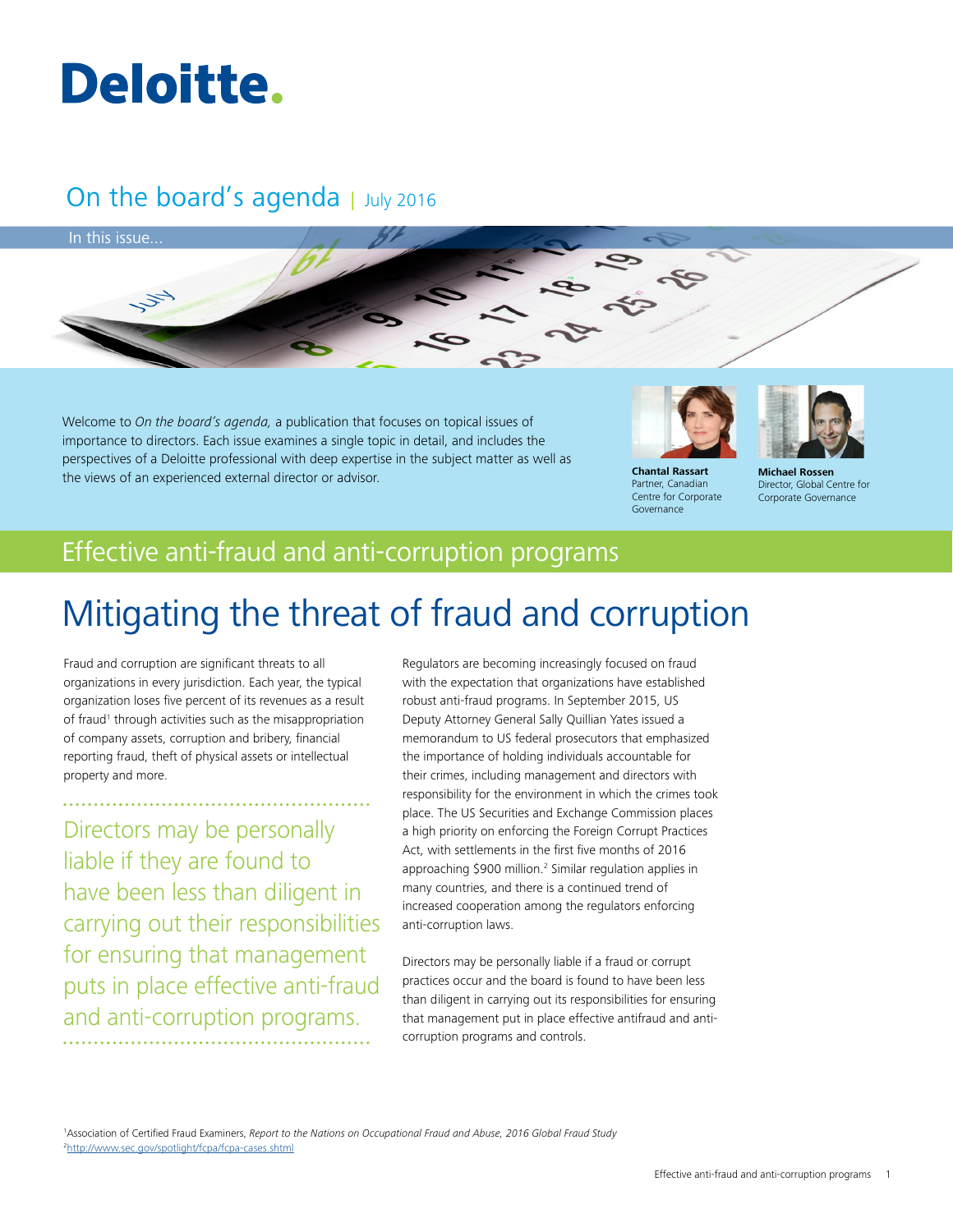# Deloitte.

## On the board's agenda | July 2016



Welcome to *On the board's agenda,* a publication that focuses on topical issues of importance to directors. Each issue examines a single topic in detail, and includes the perspectives of a Deloitte professional with deep expertise in the subject matter as well as the views of an experienced external director or advisor. **Chantal Rassart**



Partner, Canadian Centre for Corporate Governance

**Michael Rossen**

Director, Global Centre for Corporate Governance

## Effective anti-fraud and anti-corruption programs

## Mitigating the threat of fraud and corruption

Fraud and corruption are significant threats to all organizations in every jurisdiction. Each year, the typical organization loses five percent of its revenues as a result of fraud<sup>1</sup> through activities such as the misappropriation of company assets, corruption and bribery, financial reporting fraud, theft of physical assets or intellectual property and more.

Directors may be personally liable if they are found to have been less than diligent in carrying out their responsibilities for ensuring that management puts in place effective anti-fraud and anti-corruption programs.

Regulators are becoming increasingly focused on fraud with the expectation that organizations have established robust anti-fraud programs. In September 2015, US Deputy Attorney General Sally Quillian Yates issued a memorandum to US federal prosecutors that emphasized the importance of holding individuals accountable for their crimes, including management and directors with responsibility for the environment in which the crimes took place. The US Securities and Exchange Commission places a high priority on enforcing the Foreign Corrupt Practices Act, with settlements in the first five months of 2016 approaching \$900 million.<sup>2</sup> Similar regulation applies in many countries, and there is a continued trend of increased cooperation among the regulators enforcing anti-corruption laws.

Directors may be personally liable if a fraud or corrupt practices occur and the board is found to have been less than diligent in carrying out its responsibilities for ensuring that management put in place effective antifraud and anticorruption programs and controls.

1 Association of Certified Fraud Examiners, *Report to the Nations on Occupational Fraud and Abuse, 2016 Global Fraud Study* 2 <http://www.sec.gov/spotlight/fcpa/fcpa-cases.shtml>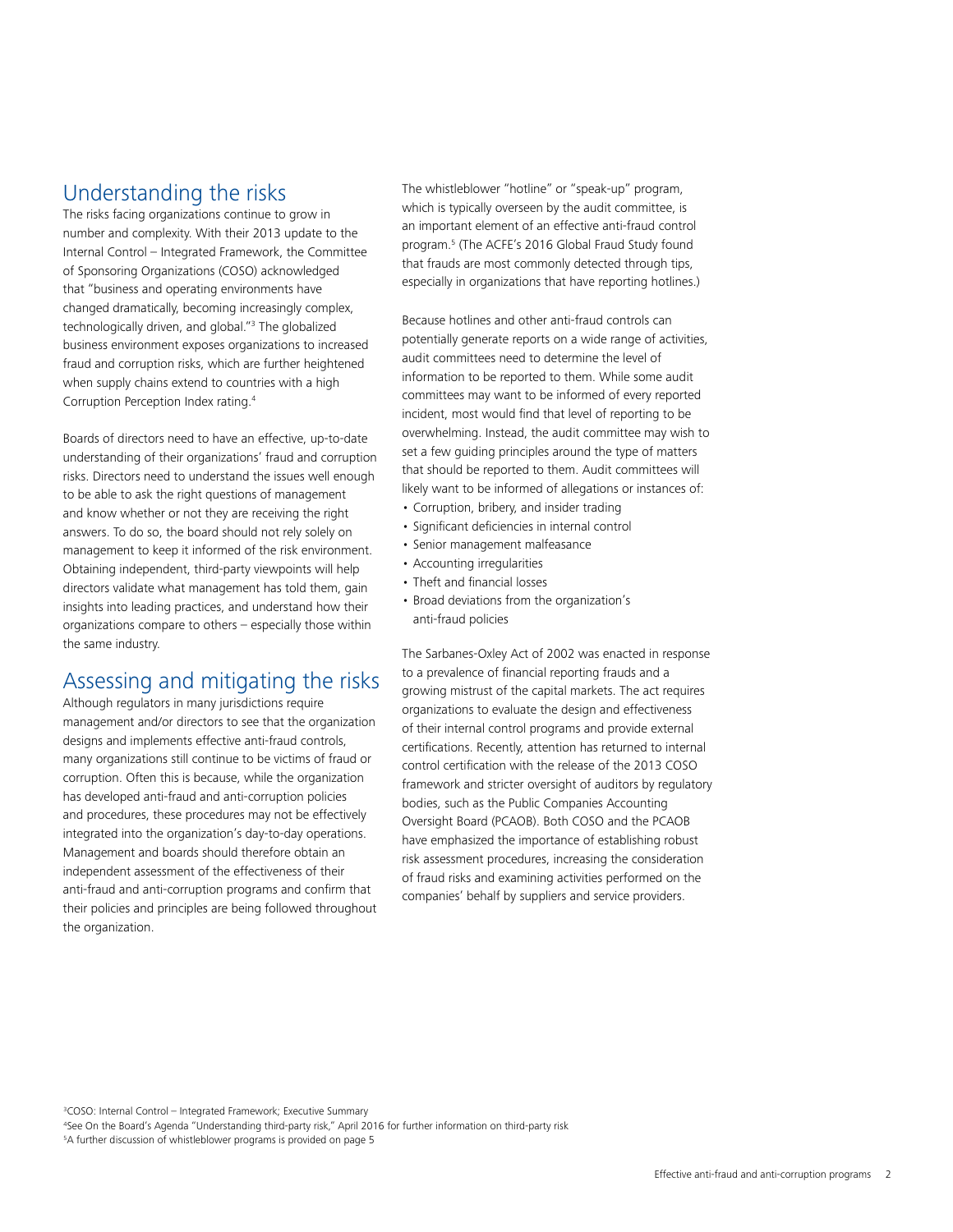### Understanding the risks

The risks facing organizations continue to grow in number and complexity. With their 2013 update to the Internal Control – Integrated Framework, the Committee of Sponsoring Organizations (COSO) acknowledged that "business and operating environments have changed dramatically, becoming increasingly complex, technologically driven, and global."3 The globalized business environment exposes organizations to increased fraud and corruption risks, which are further heightened when supply chains extend to countries with a high Corruption Perception Index rating.4

Boards of directors need to have an effective, up-to-date understanding of their organizations' fraud and corruption risks. Directors need to understand the issues well enough to be able to ask the right questions of management and know whether or not they are receiving the right answers. To do so, the board should not rely solely on management to keep it informed of the risk environment. Obtaining independent, third-party viewpoints will help directors validate what management has told them, gain insights into leading practices, and understand how their organizations compare to others – especially those within the same industry.

## Assessing and mitigating the risks

Although regulators in many jurisdictions require management and/or directors to see that the organization designs and implements effective anti-fraud controls, many organizations still continue to be victims of fraud or corruption. Often this is because, while the organization has developed anti-fraud and anti-corruption policies and procedures, these procedures may not be effectively integrated into the organization's day-to-day operations. Management and boards should therefore obtain an independent assessment of the effectiveness of their anti-fraud and anti-corruption programs and confirm that their policies and principles are being followed throughout the organization.

The whistleblower "hotline" or "speak-up" program, which is typically overseen by the audit committee, is an important element of an effective anti-fraud control program.5 (The ACFE's 2016 Global Fraud Study found that frauds are most commonly detected through tips, especially in organizations that have reporting hotlines.)

Because hotlines and other anti-fraud controls can potentially generate reports on a wide range of activities, audit committees need to determine the level of information to be reported to them. While some audit committees may want to be informed of every reported incident, most would find that level of reporting to be overwhelming. Instead, the audit committee may wish to set a few guiding principles around the type of matters that should be reported to them. Audit committees will likely want to be informed of allegations or instances of:

- Corruption, bribery, and insider trading
- Significant deficiencies in internal control
- Senior management malfeasance
- Accounting irregularities
- Theft and financial losses
- Broad deviations from the organization's anti-fraud policies

The Sarbanes-Oxley Act of 2002 was enacted in response to a prevalence of financial reporting frauds and a growing mistrust of the capital markets. The act requires organizations to evaluate the design and effectiveness of their internal control programs and provide external certifications. Recently, attention has returned to internal control certification with the release of the 2013 COSO framework and stricter oversight of auditors by regulatory bodies, such as the Public Companies Accounting Oversight Board (PCAOB). Both COSO and the PCAOB have emphasized the importance of establishing robust risk assessment procedures, increasing the consideration of fraud risks and examining activities performed on the companies' behalf by suppliers and service providers.

3 COSO: Internal Control – Integrated Framework; Executive Summary 4 See On the Board's Agenda "Understanding third-party risk," April 2016 for further information on third-party risk 5 A further discussion of whistleblower programs is provided on page 5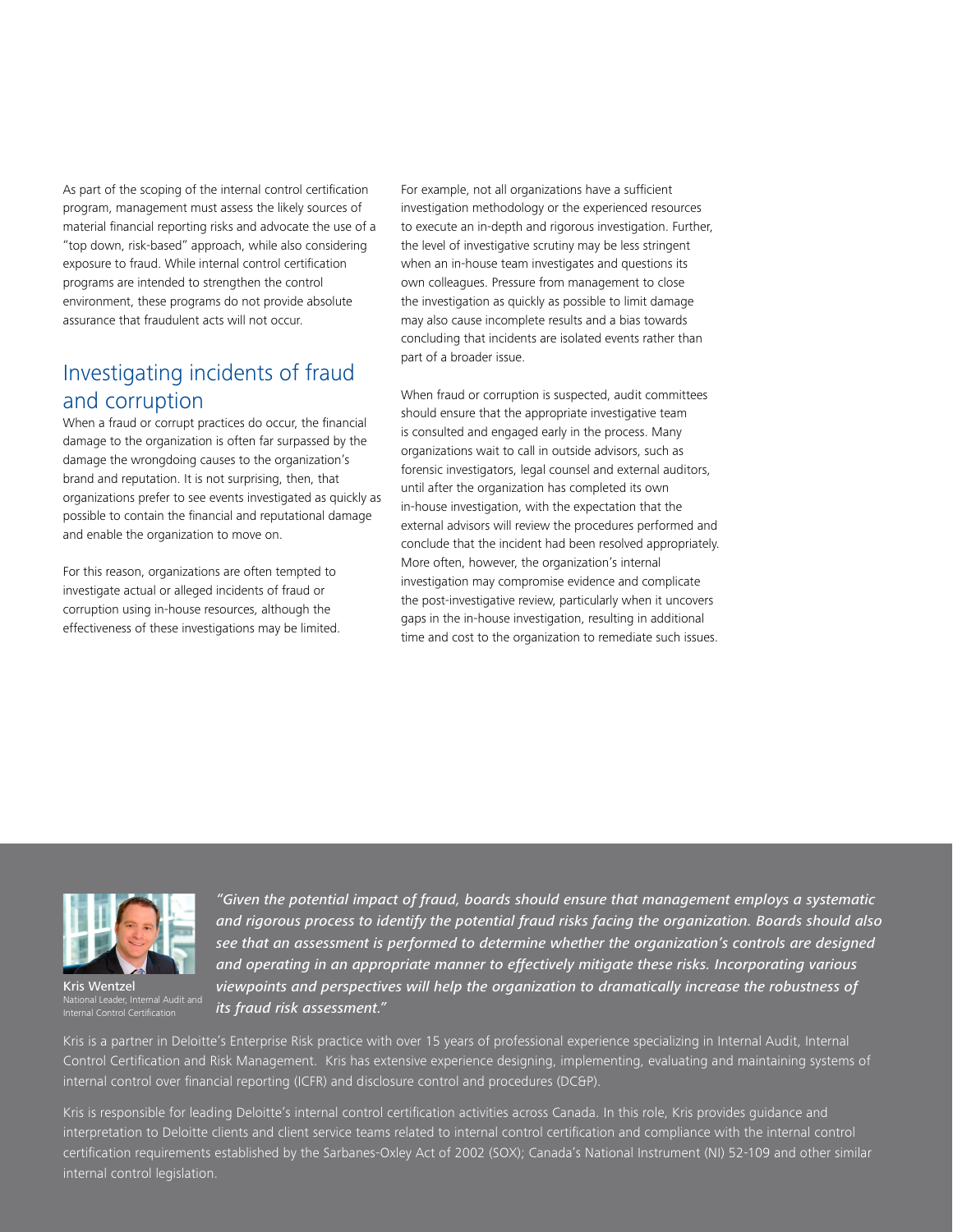As part of the scoping of the internal control certification program, management must assess the likely sources of material financial reporting risks and advocate the use of a "top down, risk-based" approach, while also considering exposure to fraud. While internal control certification programs are intended to strengthen the control environment, these programs do not provide absolute assurance that fraudulent acts will not occur.

## Investigating incidents of fraud and corruption

When a fraud or corrupt practices do occur, the financial damage to the organization is often far surpassed by the damage the wrongdoing causes to the organization's brand and reputation. It is not surprising, then, that organizations prefer to see events investigated as quickly as possible to contain the financial and reputational damage and enable the organization to move on.

For this reason, organizations are often tempted to investigate actual or alleged incidents of fraud or corruption using in-house resources, although the effectiveness of these investigations may be limited. For example, not all organizations have a sufficient investigation methodology or the experienced resources to execute an in-depth and rigorous investigation. Further, the level of investigative scrutiny may be less stringent when an in-house team investigates and questions its own colleagues. Pressure from management to close the investigation as quickly as possible to limit damage may also cause incomplete results and a bias towards concluding that incidents are isolated events rather than part of a broader issue.

When fraud or corruption is suspected, audit committees should ensure that the appropriate investigative team is consulted and engaged early in the process. Many organizations wait to call in outside advisors, such as forensic investigators, legal counsel and external auditors, until after the organization has completed its own in-house investigation, with the expectation that the external advisors will review the procedures performed and conclude that the incident had been resolved appropriately. More often, however, the organization's internal investigation may compromise evidence and complicate the post-investigative review, particularly when it uncovers gaps in the in-house investigation, resulting in additional time and cost to the organization to remediate such issues.



Kris Wentzel National Leader, Internal Audit and

*"Given the potential impact of fraud, boards should ensure that management employs a systematic and rigorous process to identify the potential fraud risks facing the organization. Boards should also see that an assessment is performed to determine whether the organization's controls are designed and operating in an appropriate manner to effectively mitigate these risks. Incorporating various viewpoints and perspectives will help the organization to dramatically increase the robustness of its fraud risk assessment."*

Kris is a partner in Deloitte's Enterprise Risk practice with over 15 years of professional experience specializing in Internal Audit, Internal Control Certification and Risk Management. Kris has extensive experience designing, implementing, evaluating and maintaining systems of internal control over financial reporting (ICFR) and disclosure control and procedures (DC&P).

Kris is responsible for leading Deloitte's internal control certification activities across Canada. In this role, Kris provides guidance and interpretation to Deloitte clients and client service teams related to internal control certification and compliance with the internal control certification requirements established by the Sarbanes-Oxley Act of 2002 (SOX); Canada's National Instrument (NI) 52-109 and other similar internal control legislation.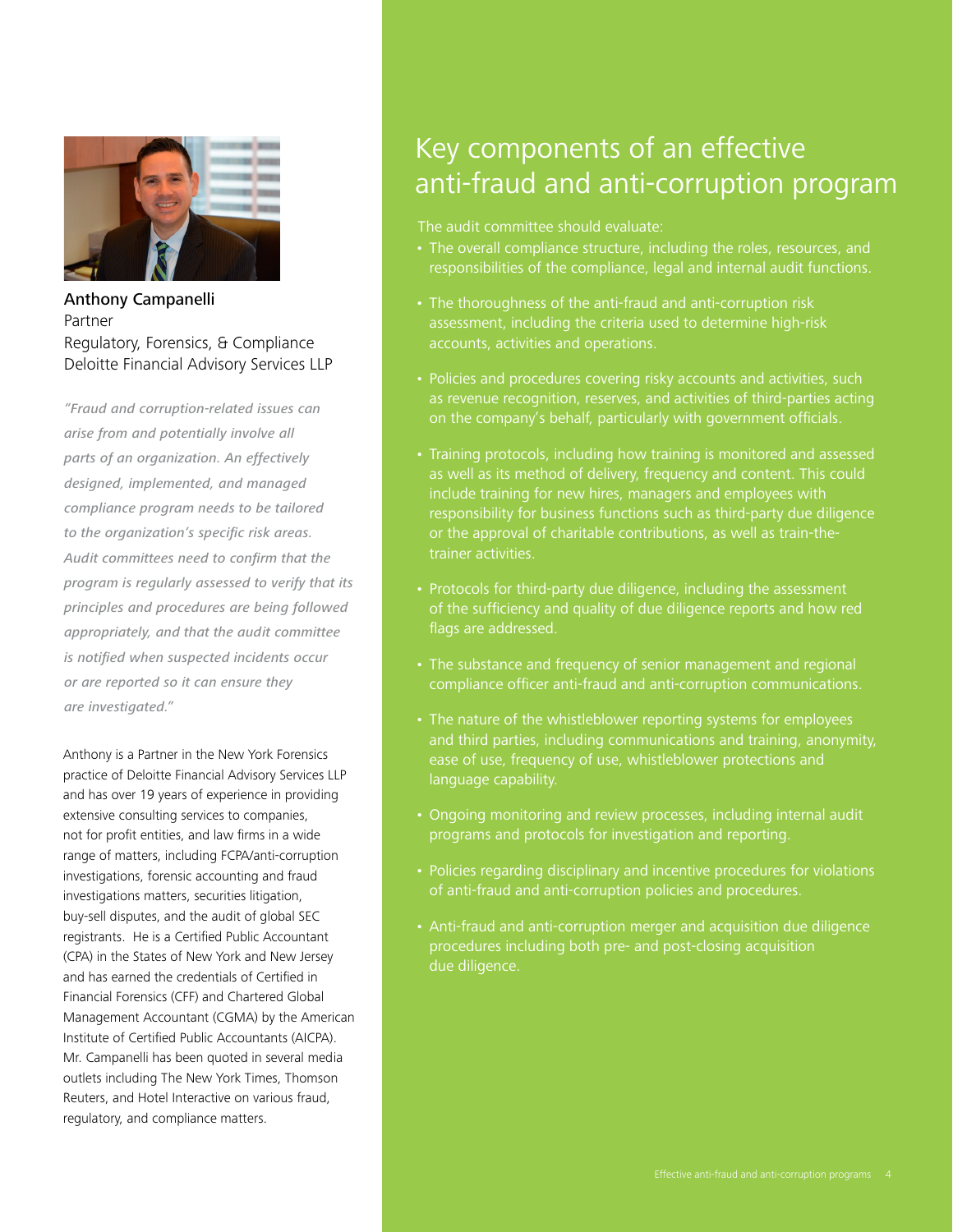

Anthony Campanelli Partner Regulatory, Forensics, & Compliance Deloitte Financial Advisory Services LLP

*"Fraud and corruption-related issues can arise from and potentially involve all parts of an organization. An effectively designed, implemented, and managed compliance program needs to be tailored to the organization's specific risk areas. Audit committees need to confirm that the program is regularly assessed to verify that its principles and procedures are being followed appropriately, and that the audit committee is notified when suspected incidents occur or are reported so it can ensure they are investigated."*

Anthony is a Partner in the New York Forensics practice of Deloitte Financial Advisory Services LLP and has over 19 years of experience in providing extensive consulting services to companies, not for profit entities, and law firms in a wide range of matters, including FCPA/anti-corruption investigations, forensic accounting and fraud investigations matters, securities litigation, buy-sell disputes, and the audit of global SEC registrants. He is a Certified Public Accountant (CPA) in the States of New York and New Jersey and has earned the credentials of Certified in Financial Forensics (CFF) and Chartered Global Management Accountant (CGMA) by the American Institute of Certified Public Accountants (AICPA). Mr. Campanelli has been quoted in several media outlets including The New York Times, Thomson Reuters, and Hotel Interactive on various fraud, regulatory, and compliance matters.

## Key components of an effective anti-fraud and anti-corruption program

The audit committee should evaluate:

- responsibilities of the compliance, legal and internal audit functions.
- The thoroughness of the anti-fraud and anti-corruption risk assessment, including the criteria used to determine high-risk accounts, activities and operations.
- as revenue recognition, reserves, and activities of third-parties acting on the company's behalf, particularly with government officials.
- Training protocols, including how training is monitored and assessed as well as its method of delivery, frequency and content. This could include training for new hires, managers and employees with responsibility for business functions such as third-party due diligence or the approval of charitable contributions, as well as train-thetrainer activities.
- of the sufficiency and quality of due diligence reports and how red flags are addressed.
- The substance and frequency of senior management and regional
- The nature of the whistleblower reporting systems for employees and third parties, including communications and training, anonymity, ease of use, frequency of use, whistleblower protections and language capability.
- Ongoing monitoring and review processes, including internal audit programs and protocols for investigation and reporting.
- Policies regarding disciplinary and incentive procedures for violations
- Anti-fraud and anti-corruption merger and acquisition due diligence procedures including both pre- and post-closing acquisition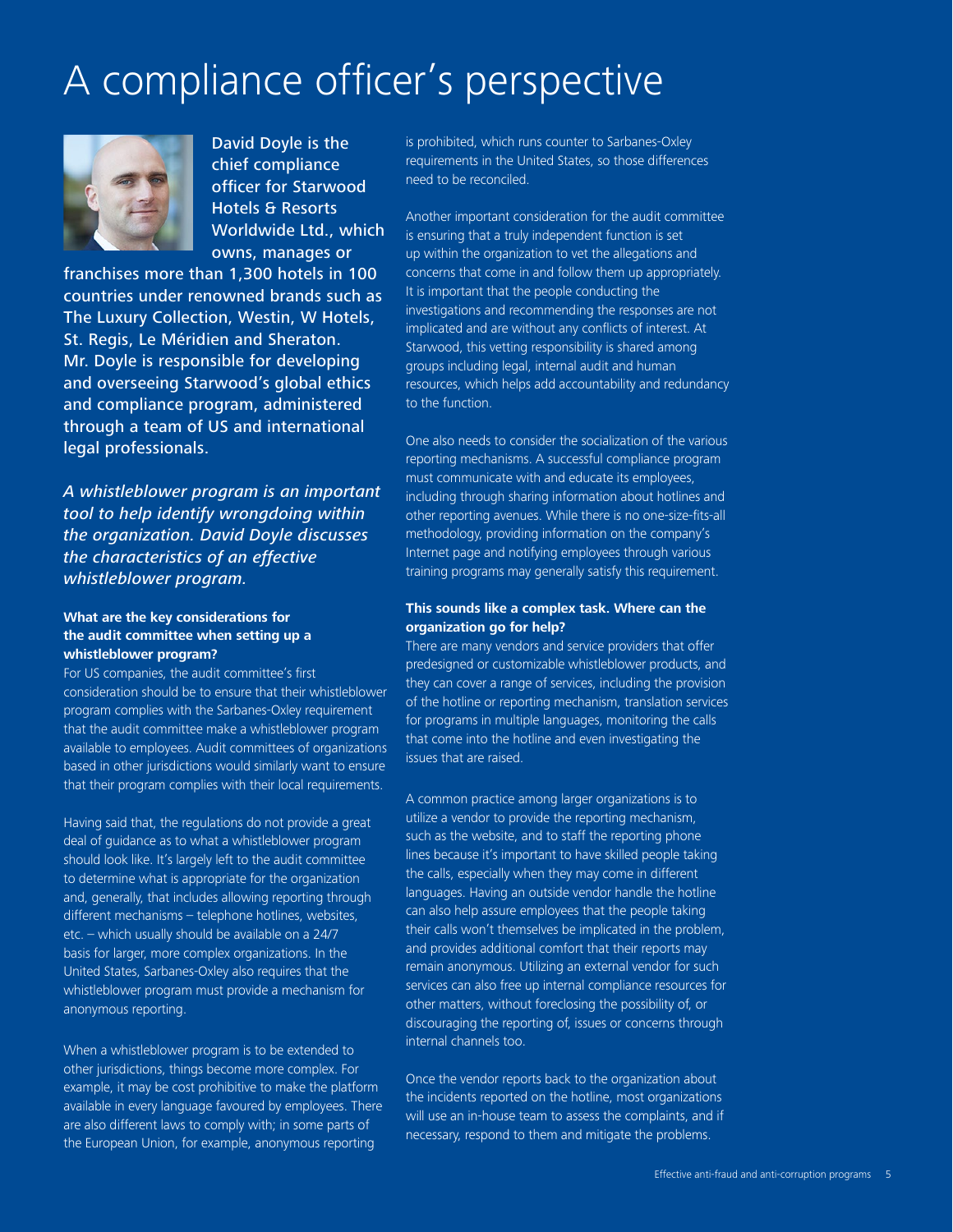## A compliance officer's perspective



David Doyle is the chief compliance officer for Starwood Hotels & Resorts Worldwide Ltd., which owns, manages or

franchises more than 1,300 hotels in 100 countries under renowned brands such as The Luxury Collection, Westin, W Hotels, St. Regis, Le Méridien and Sheraton. Mr. Doyle is responsible for developing and overseeing Starwood's global ethics and compliance program, administered through a team of US and international legal professionals.

*A whistleblower program is an important tool to help identify wrongdoing within the organization. David Doyle discusses the characteristics of an effective whistleblower program.*

#### **What are the key considerations for the audit committee when setting up a whistleblower program?**

For US companies, the audit committee's first consideration should be to ensure that their whistleblower program complies with the Sarbanes-Oxley requirement that the audit committee make a whistleblower program available to employees. Audit committees of organizations based in other jurisdictions would similarly want to ensure that their program complies with their local requirements.

Having said that, the regulations do not provide a great deal of guidance as to what a whistleblower program should look like. It's largely left to the audit committee to determine what is appropriate for the organization and, generally, that includes allowing reporting through different mechanisms – telephone hotlines, websites, etc. – which usually should be available on a 24/7 basis for larger, more complex organizations. In the United States, Sarbanes-Oxley also requires that the whistleblower program must provide a mechanism for anonymous reporting.

When a whistleblower program is to be extended to other jurisdictions, things become more complex. For example, it may be cost prohibitive to make the platform available in every language favoured by employees. There are also different laws to comply with; in some parts of the European Union, for example, anonymous reporting

is prohibited, which runs counter to Sarbanes-Oxley requirements in the United States, so those differences need to be reconciled.

Another important consideration for the audit committee is ensuring that a truly independent function is set up within the organization to vet the allegations and concerns that come in and follow them up appropriately. It is important that the people conducting the investigations and recommending the responses are not implicated and are without any conflicts of interest. At Starwood, this vetting responsibility is shared among groups including legal, internal audit and human resources, which helps add accountability and redundancy to the function.

One also needs to consider the socialization of the various reporting mechanisms. A successful compliance program must communicate with and educate its employees, including through sharing information about hotlines and other reporting avenues. While there is no one-size-fits-all methodology, providing information on the company's Internet page and notifying employees through various training programs may generally satisfy this requirement.

#### **This sounds like a complex task. Where can the organization go for help?**

There are many vendors and service providers that offer predesigned or customizable whistleblower products, and they can cover a range of services, including the provision of the hotline or reporting mechanism, translation services for programs in multiple languages, monitoring the calls that come into the hotline and even investigating the issues that are raised.

A common practice among larger organizations is to utilize a vendor to provide the reporting mechanism, such as the website, and to staff the reporting phone lines because it's important to have skilled people taking the calls, especially when they may come in different languages. Having an outside vendor handle the hotline can also help assure employees that the people taking their calls won't themselves be implicated in the problem, and provides additional comfort that their reports may remain anonymous. Utilizing an external vendor for such services can also free up internal compliance resources for other matters, without foreclosing the possibility of, or discouraging the reporting of, issues or concerns through internal channels too.

Once the vendor reports back to the organization about the incidents reported on the hotline, most organizations will use an in-house team to assess the complaints, and if necessary, respond to them and mitigate the problems.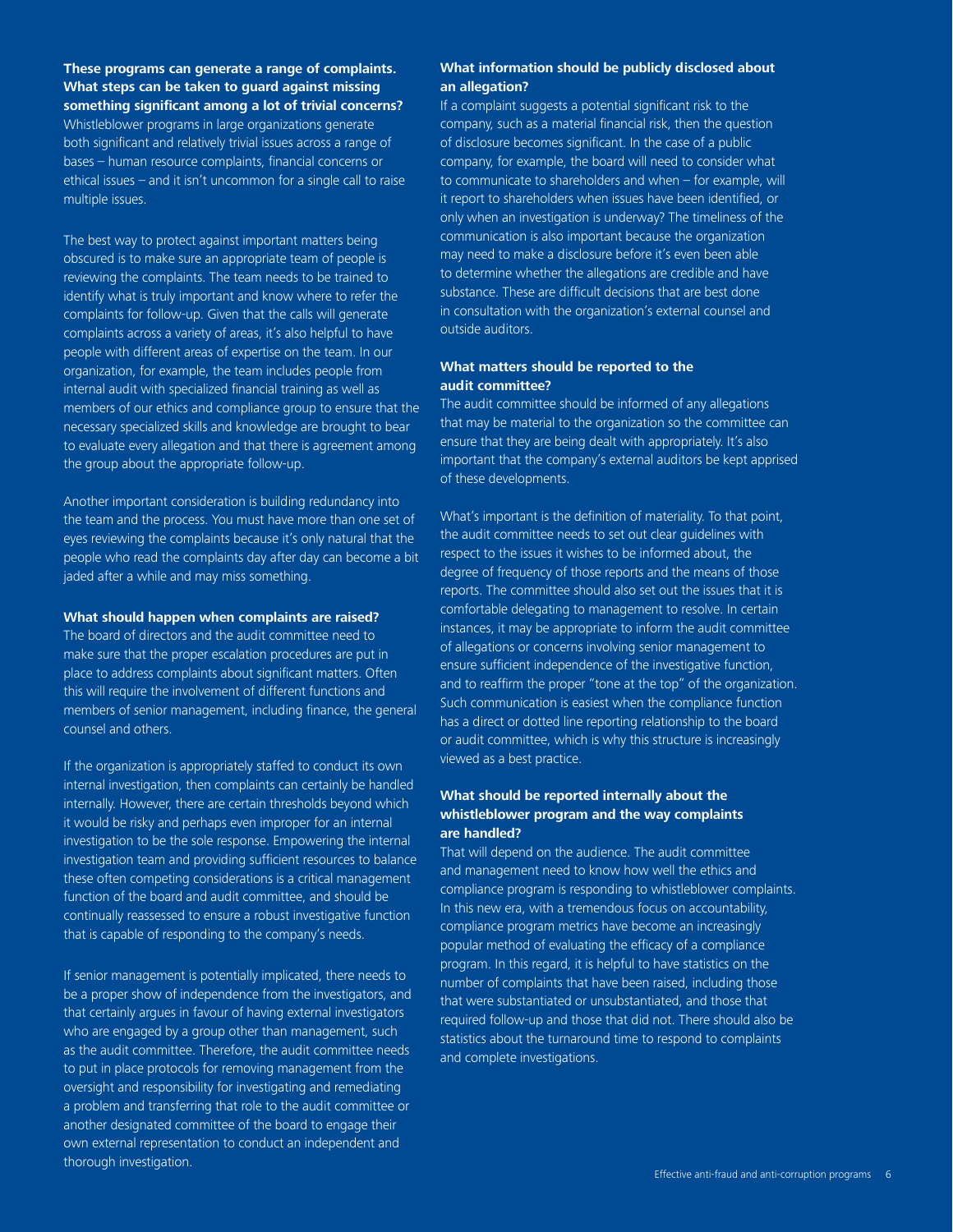**These programs can generate a range of complaints. What steps can be taken to guard against missing something significant among a lot of trivial concerns?**

Whistleblower programs in large organizations generate both significant and relatively trivial issues across a range of bases – human resource complaints, financial concerns or ethical issues – and it isn't uncommon for a single call to raise multiple issues.

The best way to protect against important matters being obscured is to make sure an appropriate team of people is reviewing the complaints. The team needs to be trained to identify what is truly important and know where to refer the complaints for follow-up. Given that the calls will generate complaints across a variety of areas, it's also helpful to have people with different areas of expertise on the team. In our organization, for example, the team includes people from internal audit with specialized financial training as well as members of our ethics and compliance group to ensure that the necessary specialized skills and knowledge are brought to bear to evaluate every allegation and that there is agreement among the group about the appropriate follow-up.

Another important consideration is building redundancy into the team and the process. You must have more than one set of eyes reviewing the complaints because it's only natural that the people who read the complaints day after day can become a bit jaded after a while and may miss something.

#### **What should happen when complaints are raised?**

The board of directors and the audit committee need to make sure that the proper escalation procedures are put in place to address complaints about significant matters. Often this will require the involvement of different functions and members of senior management, including finance, the general counsel and others.

If the organization is appropriately staffed to conduct its own internal investigation, then complaints can certainly be handled internally. However, there are certain thresholds beyond which it would be risky and perhaps even improper for an internal investigation to be the sole response. Empowering the internal investigation team and providing sufficient resources to balance these often competing considerations is a critical management function of the board and audit committee, and should be continually reassessed to ensure a robust investigative function that is capable of responding to the company's needs.

If senior management is potentially implicated, there needs to be a proper show of independence from the investigators, and that certainly argues in favour of having external investigators who are engaged by a group other than management, such as the audit committee. Therefore, the audit committee needs to put in place protocols for removing management from the oversight and responsibility for investigating and remediating a problem and transferring that role to the audit committee or another designated committee of the board to engage their own external representation to conduct an independent and thorough investigation.

#### **What information should be publicly disclosed about an allegation?**

If a complaint suggests a potential significant risk to the company, such as a material financial risk, then the question of disclosure becomes significant. In the case of a public company, for example, the board will need to consider what to communicate to shareholders and when – for example, will it report to shareholders when issues have been identified, or only when an investigation is underway? The timeliness of the communication is also important because the organization may need to make a disclosure before it's even been able to determine whether the allegations are credible and have substance. These are difficult decisions that are best done in consultation with the organization's external counsel and outside auditors.

#### **What matters should be reported to the audit committee?**

The audit committee should be informed of any allegations that may be material to the organization so the committee can ensure that they are being dealt with appropriately. It's also important that the company's external auditors be kept apprised of these developments.

What's important is the definition of materiality. To that point, the audit committee needs to set out clear guidelines with respect to the issues it wishes to be informed about, the degree of frequency of those reports and the means of those reports. The committee should also set out the issues that it is comfortable delegating to management to resolve. In certain instances, it may be appropriate to inform the audit committee of allegations or concerns involving senior management to ensure sufficient independence of the investigative function, and to reaffirm the proper "tone at the top" of the organization. Such communication is easiest when the compliance function has a direct or dotted line reporting relationship to the board or audit committee, which is why this structure is increasingly viewed as a best practice.

#### **What should be reported internally about the whistleblower program and the way complaints are handled?**

That will depend on the audience. The audit committee and management need to know how well the ethics and compliance program is responding to whistleblower complaints. In this new era, with a tremendous focus on accountability, compliance program metrics have become an increasingly popular method of evaluating the efficacy of a compliance program. In this regard, it is helpful to have statistics on the number of complaints that have been raised, including those that were substantiated or unsubstantiated, and those that required follow-up and those that did not. There should also be statistics about the turnaround time to respond to complaints and complete investigations.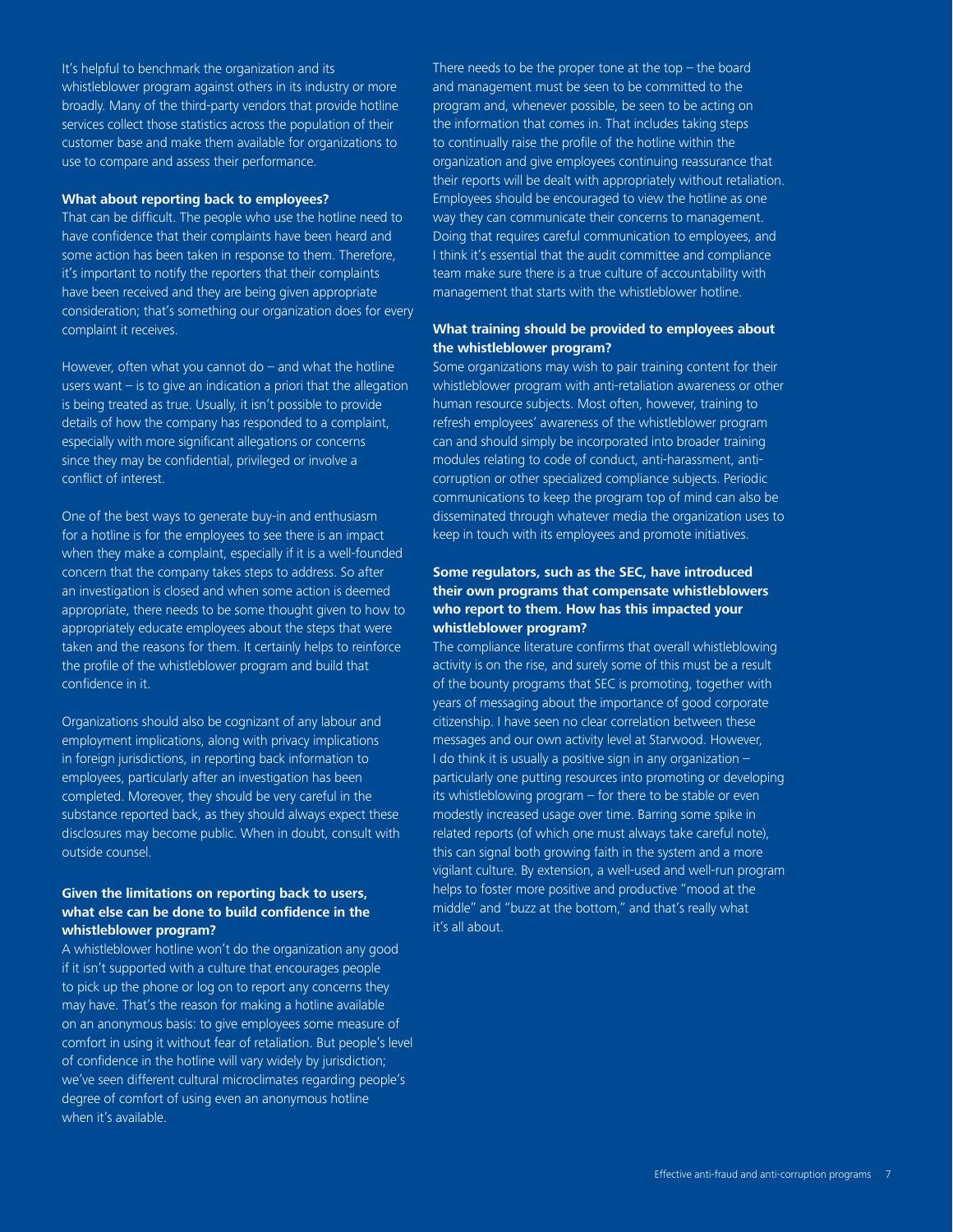It's helpful to benchmark the organization and its whistleblower program against others in its industry or more broadly. Many of the third-party vendors that provide hotline services collect those statistics across the population of their customer base and make them available for organizations to use to compare and assess their performance.

#### **What about reporting back to employees?**

That can be difficult. The people who use the hotline need to have confidence that their complaints have been heard and some action has been taken in response to them. Therefore, it's important to notify the reporters that their complaints have been received and they are being given appropriate consideration; that's something our organization does for every complaint it receives.

However, often what you cannot do – and what the hotline users want – is to give an indication a priori that the allegation is being treated as true. Usually, it isn't possible to provide details of how the company has responded to a complaint, especially with more significant allegations or concerns since they may be confidential, privileged or involve a conflict of interest.

One of the best ways to generate buy-in and enthusiasm for a hotline is for the employees to see there is an impact when they make a complaint, especially if it is a well-founded concern that the company takes steps to address. So after an investigation is closed and when some action is deemed appropriate, there needs to be some thought given to how to appropriately educate employees about the steps that were taken and the reasons for them. It certainly helps to reinforce the profile of the whistleblower program and build that confidence in it.

Organizations should also be cognizant of any labour and employment implications, along with privacy implications in foreign jurisdictions, in reporting back information to employees, particularly after an investigation has been completed. Moreover, they should be very careful in the substance reported back, as they should always expect these disclosures may become public. When in doubt, consult with outside counsel.

#### **Given the limitations on reporting back to users, what else can be done to build confidence in the whistleblower program?**

A whistleblower hotline won't do the organization any good if it isn't supported with a culture that encourages people to pick up the phone or log on to report any concerns they may have. That's the reason for making a hotline available on an anonymous basis: to give employees some measure of comfort in using it without fear of retaliation. But people's level of confidence in the hotline will vary widely by jurisdiction; we've seen different cultural microclimates regarding people's degree of comfort of using even an anonymous hotline when it's available.

There needs to be the proper tone at the top  $-$  the board and management must be seen to be committed to the program and, whenever possible, be seen to be acting on the information that comes in. That includes taking steps to continually raise the profile of the hotline within the organization and give employees continuing reassurance that their reports will be dealt with appropriately without retaliation. Employees should be encouraged to view the hotline as one way they can communicate their concerns to management. Doing that requires careful communication to employees, and I think it's essential that the audit committee and compliance team make sure there is a true culture of accountability with management that starts with the whistleblower hotline.

#### **What training should be provided to employees about the whistleblower program?**

Some organizations may wish to pair training content for their whistleblower program with anti-retaliation awareness or other human resource subjects. Most often, however, training to refresh employees' awareness of the whistleblower program can and should simply be incorporated into broader training modules relating to code of conduct, anti-harassment, anticorruption or other specialized compliance subjects. Periodic communications to keep the program top of mind can also be disseminated through whatever media the organization uses to keep in touch with its employees and promote initiatives.

#### **Some regulators, such as the SEC, have introduced their own programs that compensate whistleblowers who report to them. How has this impacted your whistleblower program?**

The compliance literature confirms that overall whistleblowing activity is on the rise, and surely some of this must be a result of the bounty programs that SEC is promoting, together with years of messaging about the importance of good corporate citizenship. I have seen no clear correlation between these messages and our own activity level at Starwood. However, I do think it is usually a positive sign in any organization – particularly one putting resources into promoting or developing its whistleblowing program – for there to be stable or even modestly increased usage over time. Barring some spike in related reports (of which one must always take careful note), this can signal both growing faith in the system and a more vigilant culture. By extension, a well-used and well-run program helps to foster more positive and productive "mood at the middle" and "buzz at the bottom," and that's really what it's all about.